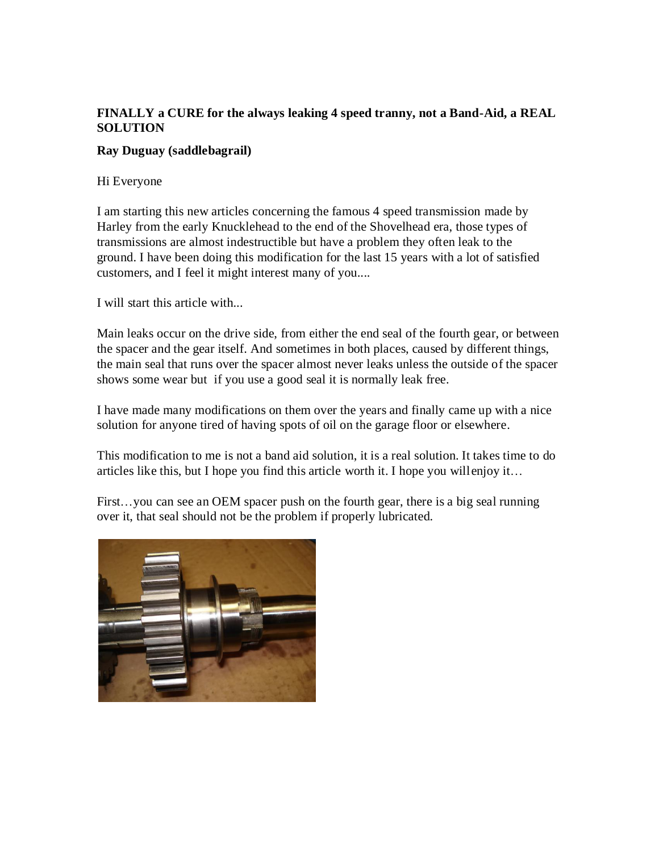## **FINALLY a CURE for the always leaking 4 speed tranny, not a Band-Aid, a REAL SOLUTION**

## **Ray Duguay (saddlebagrail)**

Hi Everyone

I am starting this new articles concerning the famous 4 speed transmission made by Harley from the early Knucklehead to the end of the Shovelhead era, those types of transmissions are almost indestructible but have a problem they often leak to the ground. I have been doing this modification for the last 15 years with a lot of satisfied customers, and I feel it might interest many of you....

I will start this article with...

Main leaks occur on the drive side, from either the end seal of the fourth gear, or between the spacer and the gear itself. And sometimes in both places, caused by different things, the main seal that runs over the spacer almost never leaks unless the outside of the spacer shows some wear but if you use a good seal it is normally leak free.

I have made many modifications on them over the years and finally came up with a nice solution for anyone tired of having spots of oil on the garage floor or elsewhere.

This modification to me is not a band aid solution, it is a real solution. It takes time to do articles like this, but I hope you find this article worth it. I hope you willenjoy it…

First...you can see an OEM spacer push on the fourth gear, there is a big seal running over it, that seal should not be the problem if properly lubricated.

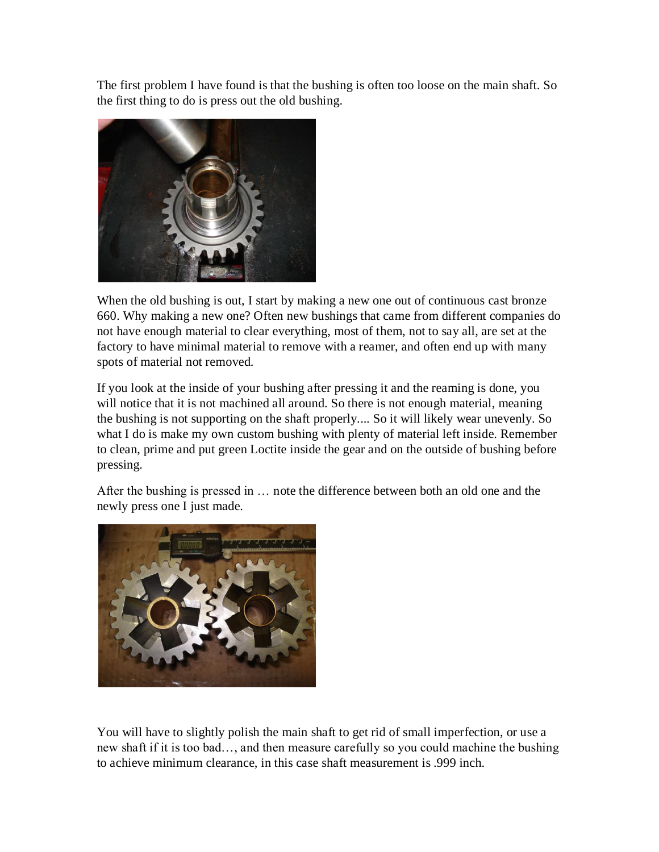The first problem I have found is that the bushing is often too loose on the main shaft. So the first thing to do is press out the old bushing.



When the old bushing is out, I start by making a new one out of continuous cast bronze 660. Why making a new one? Often new bushings that came from different companies do not have enough material to clear everything, most of them, not to say all, are set at the factory to have minimal material to remove with a reamer, and often end up with many spots of material not removed.

If you look at the inside of your bushing after pressing it and the reaming is done, you will notice that it is not machined all around. So there is not enough material, meaning the bushing is not supporting on the shaft properly.... So it will likely wear unevenly. So what I do is make my own custom bushing with plenty of material left inside. Remember to clean, prime and put green Loctite inside the gear and on the outside of bushing before pressing.

After the bushing is pressed in … note the difference between both an old one and the newly press one I just made.



You will have to slightly polish the main shaft to get rid of small imperfection, or use a new shaft if it is too bad…, and then measure carefully so you could machine the bushing to achieve minimum clearance, in this case shaft measurement is .999 inch.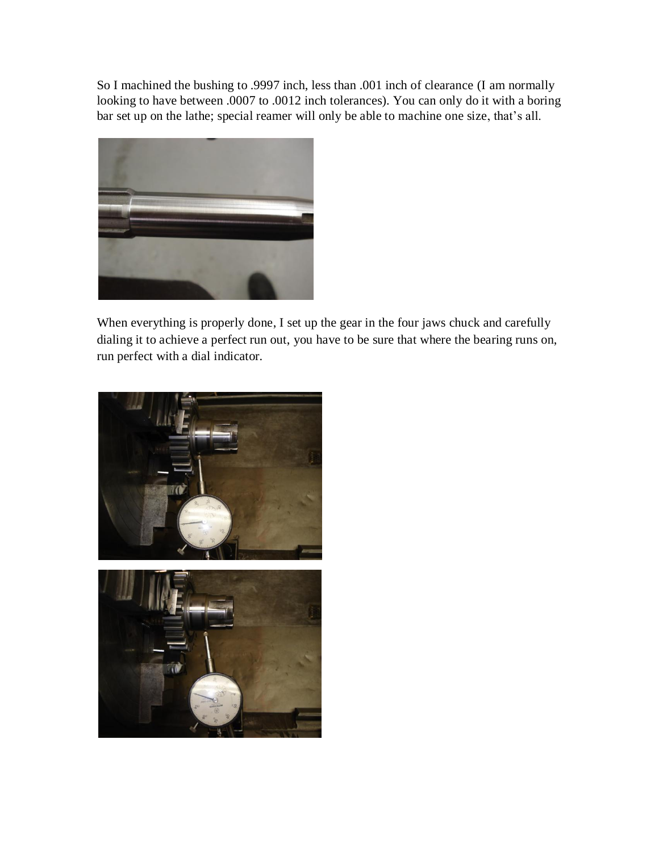So I machined the bushing to .9997 inch, less than .001 inch of clearance (I am normally looking to have between .0007 to .0012 inch tolerances). You can only do it with a boring bar set up on the lathe; special reamer will only be able to machine one size, that's all.



When everything is properly done, I set up the gear in the four jaws chuck and carefully dialing it to achieve a perfect run out, you have to be sure that where the bearing runs on, run perfect with a dial indicator.

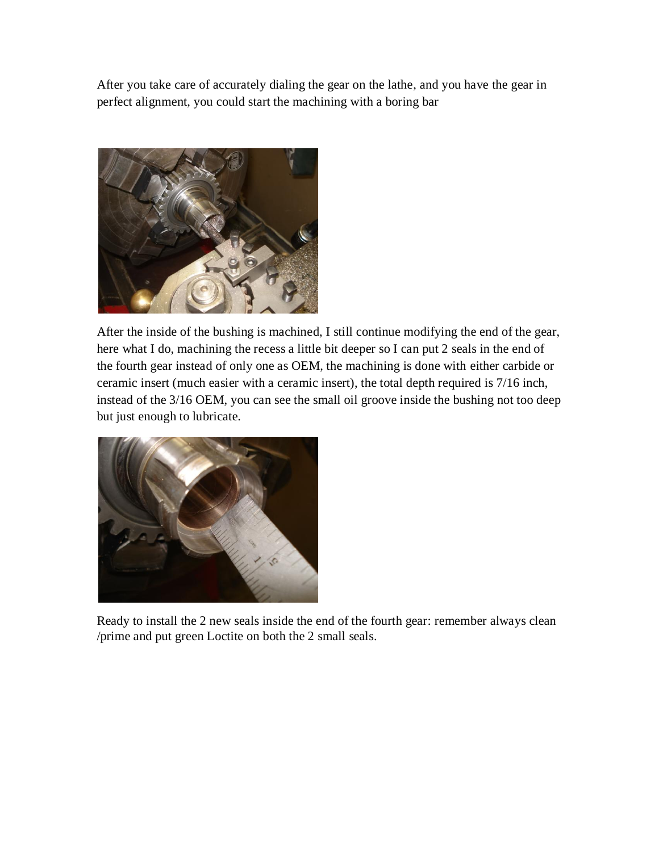After you take care of accurately dialing the gear on the lathe, and you have the gear in perfect alignment, you could start the machining with a boring bar



After the inside of the bushing is machined, I still continue modifying the end of the gear, here what I do, machining the recess a little bit deeper so I can put 2 seals in the end of the fourth gear instead of only one as OEM, the machining is done with either carbide or ceramic insert (much easier with a ceramic insert), the total depth required is 7/16 inch, instead of the 3/16 OEM, you can see the small oil groove inside the bushing not too deep but just enough to lubricate.



Ready to install the 2 new seals inside the end of the fourth gear: remember always clean /prime and put green Loctite on both the 2 small seals.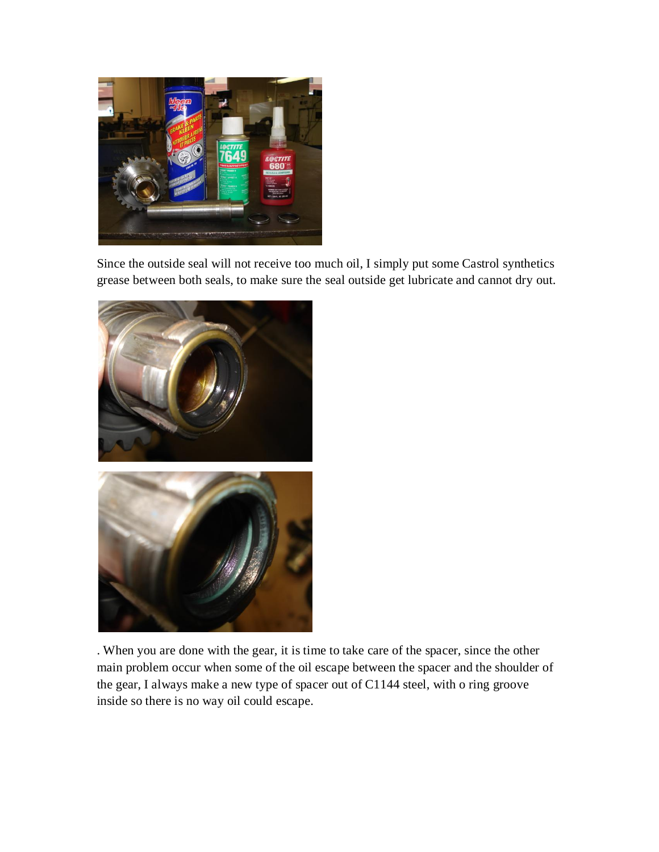

Since the outside seal will not receive too much oil, I simply put some Castrol synthetics grease between both seals, to make sure the seal outside get lubricate and cannot dry out.



. When you are done with the gear, it is time to take care of the spacer, since the other main problem occur when some of the oil escape between the spacer and the shoulder of the gear, I always make a new type of spacer out of C1144 steel, with o ring groove inside so there is no way oil could escape.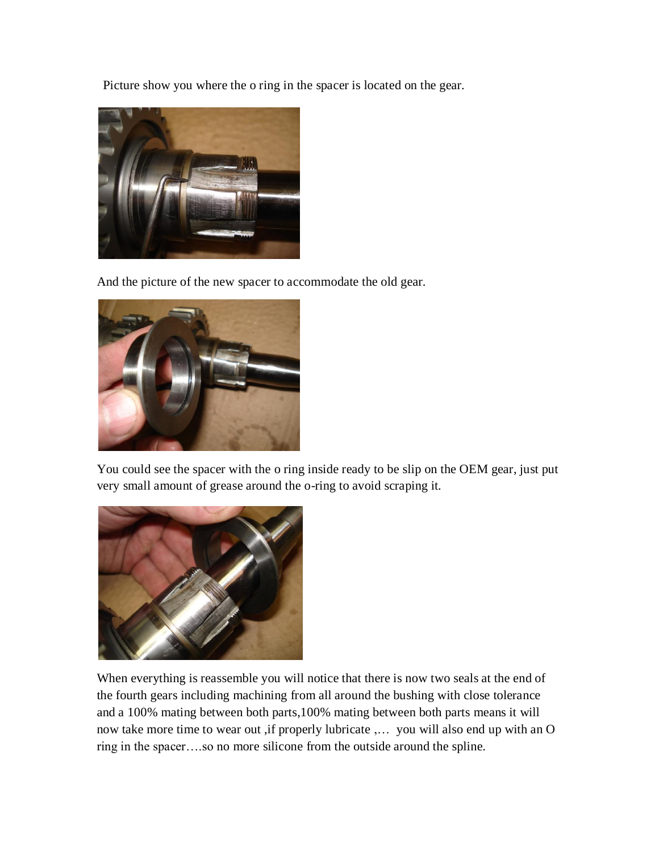Picture show you where the o ring in the spacer is located on the gear.



And the picture of the new spacer to accommodate the old gear.



You could see the spacer with the o ring inside ready to be slip on the OEM gear, just put very small amount of grease around the o-ring to avoid scraping it.



When everything is reassemble you will notice that there is now two seals at the end of the fourth gears including machining from all around the bushing with close tolerance and a 100% mating between both parts,100% mating between both parts means it will now take more time to wear out ,if properly lubricate ,… you will also end up with an O ring in the spacer….so no more silicone from the outside around the spline.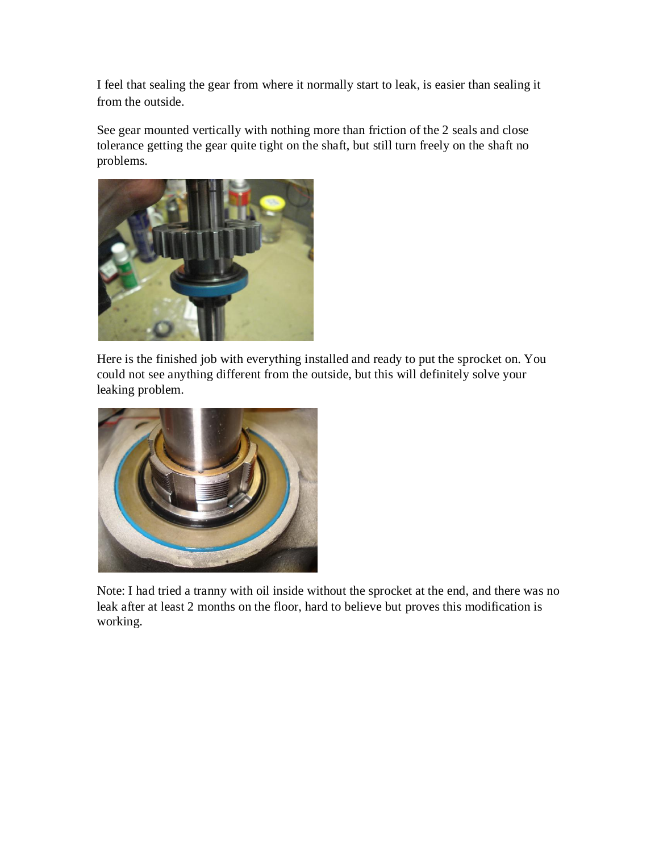I feel that sealing the gear from where it normally start to leak, is easier than sealing it from the outside.

See gear mounted vertically with nothing more than friction of the 2 seals and close tolerance getting the gear quite tight on the shaft, but still turn freely on the shaft no problems.



Here is the finished job with everything installed and ready to put the sprocket on. You could not see anything different from the outside, but this will definitely solve your leaking problem.



Note: I had tried a tranny with oil inside without the sprocket at the end, and there was no leak after at least 2 months on the floor, hard to believe but proves this modification is working.